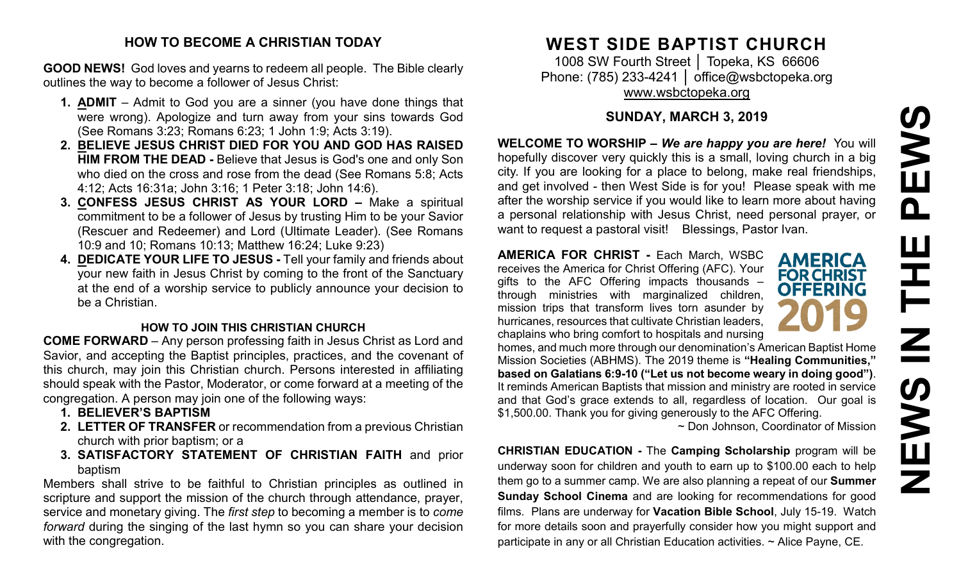# PEWS **NEWS IN THE PEWS**HH HH **SARNE**

## **HOW TO BECOME A CHRISTIAN TODAY**

**GOOD NEWS!** God loves and yearns to redeem all people. The Bible clearly outlines the way to become a follower of Jesus Christ:

- **1. ADMIT** Admit to God you are a sinner (you have done things that were wrong). Apologize and turn away from your sins towards God (See Romans 3:23; Romans 6:23; 1 John 1:9; Acts 3:19).
- **2. BELIEVE JESUS CHRIST DIED FOR YOU AND GOD HAS RAISED HIM FROM THE DEAD -** Believe that Jesus is God's one and only Son who died on the cross and rose from the dead (See Romans 5:8; Acts 4:12; Acts 16:31a; John 3:16; 1 Peter 3:18; John 14:6).
- **3. CONFESS JESUS CHRIST AS YOUR LORD –** Make a spiritual commitment to be a follower of Jesus by trusting Him to be your Savior (Rescuer and Redeemer) and Lord (Ultimate Leader). (See Romans 10:9 and 10; Romans 10:13; Matthew 16:24; Luke 9:23)
- **4. DEDICATE YOUR LIFE TO JESUS -** Tell your family and friends about your new faith in Jesus Christ by coming to the front of the Sanctuary at the end of a worship service to publicly announce your decision to be a Christian.

## **HOW TO JOIN THIS CHRISTIAN CHURCH**

**COME FORWARD** – Any person professing faith in Jesus Christ as Lord and Savior, and accepting the Baptist principles, practices, and the covenant of this church, may join this Christian church. Persons interested in affiliating should speak with the Pastor, Moderator, or come forward at a meeting of the congregation. A person may join one of the following ways:

- **1. BELIEVER'S BAPTISM**
- **2. LETTER OF TRANSFER** or recommendation from a previous Christian church with prior baptism; or a
- **3. SATISFACTORY STATEMENT OF CHRISTIAN FAITH** and prior baptism

Members shall strive to be faithful to Christian principles as outlined in scripture and support the mission of the church through attendance, prayer, service and monetary giving. The *first step* to becoming a member is to *come forward* during the singing of the last hymn so you can share your decision with the congregation.

# **WEST SIDE BAPTIST CHURCH**

1008 SW Fourth Street | Topeka, KS 66606 Phone: (785) 233-4241 │ [office@wsbctopeka.org](mailto:office@wsbctopeka.org) [www.wsbctopeka.org](http://www.wsbctopeka.org/)

# **SUNDAY, MARCH 3, 2019**

**WELCOME TO WORSHIP –** *We are happy you are here!* You will hopefully discover very quickly this is a small, loving church in a big city. If you are looking for a place to belong, make real friendships, and get involved - then West Side is for you! Please speak with me after the worship service if you would like to learn more about having a personal relationship with Jesus Christ, need personal prayer, or want to request a pastoral visit! Blessings, Pastor Ivan.

**AMERICA FOR CHRIST -** Each March, WSBC receives the America for Christ Offering (AFC). Your gifts to the AFC Offering impacts thousands – through ministries with marginalized children, mission trips that transform lives torn asunder by hurricanes, resources that cultivate Christian leaders, chaplains who bring comfort to hospitals and nursing



homes, and much more through our denomination's American Baptist Home Mission Societies (ABHMS). The 2019 theme is **"Healing Communities," based on Galatians 6:9-10 ("Let us not become weary in doing good")**. It reminds American Baptists that mission and ministry are rooted in service and that God's grace extends to all, regardless of location. Our goal is \$1,500.00. Thank you for giving generously to the AFC Offering.

~ Don Johnson, Coordinator of Mission

**CHRISTIAN EDUCATION -** The **Camping Scholarship** program will be underway soon for children and youth to earn up to \$100.00 each to help them go to a summer camp. We are also planning a repeat of our **Summer Sunday School Cinema** and are looking for recommendations for good films. Plans are underway for **Vacation Bible School**, July 15-19. Watch for more details soon and prayerfully consider how you might support and participate in any or all Christian Education activities. ~ Alice Payne, CE.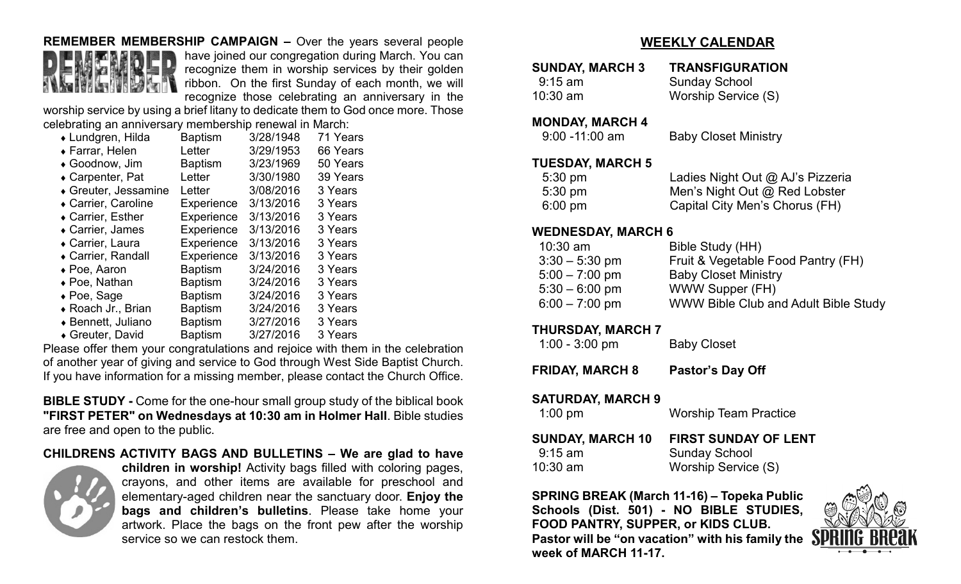#### **REMEMBER MEMBERSHIP CAMPAIGN –** Over the years several people



have joined our congregation during March. You can recognize them in worship services by their golden ribbon. On the first Sunday of each month, we will recognize those celebrating an anniversary in the

worship service by using a brief litany to dedicate them to God once more. Those celebrating an anniversary membership renewal in March:

| ◆ Lundgren, Hilda    | <b>Baptism</b> | 3/28/1948 | 71 Years |
|----------------------|----------------|-----------|----------|
| ◆ Farrar, Helen      | Letter         | 3/29/1953 | 66 Years |
| ◆ Goodnow, Jim       | <b>Baptism</b> | 3/23/1969 | 50 Years |
| ◆ Carpenter, Pat     | Letter         | 3/30/1980 | 39 Years |
| ◆ Greuter, Jessamine | Letter         | 3/08/2016 | 3 Years  |
| ◆ Carrier, Caroline  | Experience     | 3/13/2016 | 3 Years  |
| ◆ Carrier, Esther    | Experience     | 3/13/2016 | 3 Years  |
| • Carrier, James     | Experience     | 3/13/2016 | 3 Years  |
| ◆ Carrier, Laura     | Experience     | 3/13/2016 | 3 Years  |
| • Carrier, Randall   | Experience     | 3/13/2016 | 3 Years  |
| $\bullet$ Poe, Aaron | Baptism        | 3/24/2016 | 3 Years  |
| ◆ Poe, Nathan        | Baptism        | 3/24/2016 | 3 Years  |
| $\bullet$ Poe, Sage  | Baptism        | 3/24/2016 | 3 Years  |
| ◆ Roach Jr., Brian   | Baptism        | 3/24/2016 | 3 Years  |
| ◆ Bennett, Juliano   | <b>Baptism</b> | 3/27/2016 | 3 Years  |
| ◆ Greuter, David     | <b>Baptism</b> | 3/27/2016 | 3 Years  |

Please offer them your congratulations and rejoice with them in the celebration of another year of giving and service to God through West Side Baptist Church. If you have information for a missing member, please contact the Church Office.

**BIBLE STUDY -** Come for the one-hour small group study of the biblical book **"FIRST PETER" on Wednesdays at 10:30 am in Holmer Hall**. Bible studies are free and open to the public.

#### **CHILDRENS ACTIVITY BAGS AND BULLETINS – We are glad to have**



**children in worship!** Activity bags filled with coloring pages, crayons, and other items are available for preschool and elementary-aged children near the sanctuary door. **Enjoy the bags and children's bulletins**. Please take home your artwork. Place the bags on the front pew after the worship service so we can restock them.

# **WEEKLY CALENDAR**

| <b>SUNDAY, MARCH 3</b><br>$9:15$ am<br>$10:30$ am | <b>TRANSFIGURATION</b><br><b>Sunday School</b><br>Worship Service (S) |
|---------------------------------------------------|-----------------------------------------------------------------------|
| <b>MONDAY, MARCH 4</b><br>$9:00 - 11:00$ am       | <b>Baby Closet Ministry</b>                                           |
| <b>TUESDAY, MARCH 5</b>                           |                                                                       |

| 19                |                                  |
|-------------------|----------------------------------|
| $5:30 \text{ pm}$ | Ladies Night Out @ AJ's Pizzeria |
| $5:30 \text{ pm}$ | Men's Night Out @ Red Lobster    |
| $6:00 \text{ pm}$ | Capital City Men's Chorus (FH)   |

#### **WEDNESDAY, MARCH 6**

| Bible Study (HH)<br>$10:30$ am                           |  |
|----------------------------------------------------------|--|
| Fruit & Vegetable Food Pantry (FH)<br>$3:30 - 5:30$ pm   |  |
| $5:00 - 7:00$ pm<br><b>Baby Closet Ministry</b>          |  |
| WWW Supper (FH)<br>$5:30 - 6:00$ pm                      |  |
| WWW Bible Club and Adult Bible Study<br>$6:00 - 7:00$ pm |  |

#### **THURSDAY, MARCH 7**

| $1:00 - 3:00$ pm | <b>Baby Closet</b> |
|------------------|--------------------|
|------------------|--------------------|

**FRIDAY, MARCH 8 Pastor's Day Off**

#### **SATURDAY, MARCH 9**

| $1:00$ pm               | <b>Worship Team Practice</b> |  |
|-------------------------|------------------------------|--|
| <b>SUNDAY, MARCH 10</b> | <b>FIRST SUNDAY OF LENT</b>  |  |
| $9:15$ am               | <b>Sunday School</b>         |  |
| $10:30$ am              | Worship Service (S)          |  |

**SPRING BREAK (March 11-16) – Topeka Public Schools (Dist. 501) - NO BIBLE STUDIES, FOOD PANTRY, SUPPER, or KIDS CLUB. Pastor will be "on vacation" with his family the week of MARCH 11-17.**

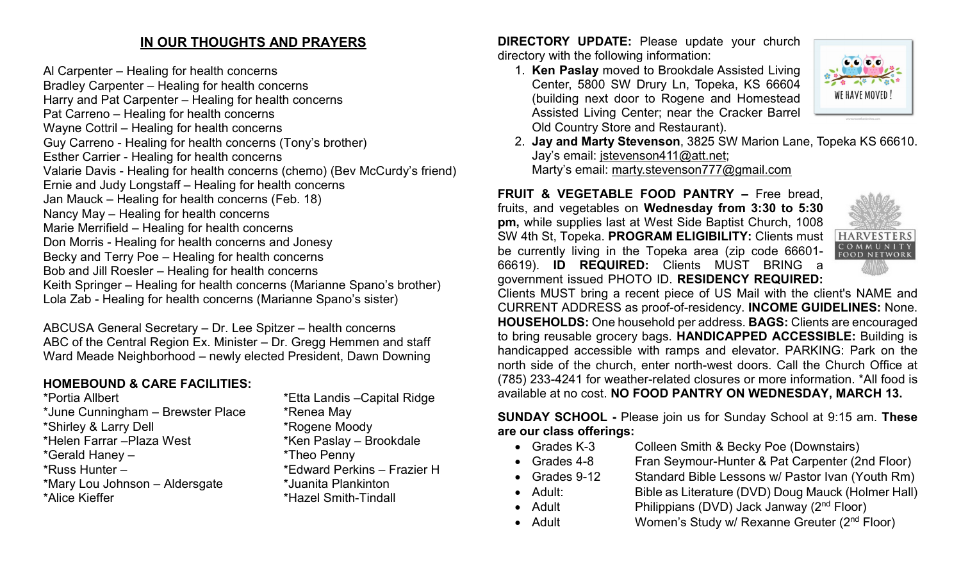# **IN OUR THOUGHTS AND PRAYERS**

Al Carpenter – Healing for health concerns Bradley Carpenter – Healing for health concerns Harry and Pat Carpenter – Healing for health concerns Pat Carreno – Healing for health concerns Wayne Cottril – Healing for health concerns Guy Carreno - Healing for health concerns (Tony's brother) Esther Carrier - Healing for health concerns Valarie Davis - Healing for health concerns (chemo) (Bev McCurdy's friend) Ernie and Judy Longstaff – Healing for health concerns Jan Mauck – Healing for health concerns (Feb. 18) Nancy May – Healing for health concerns Marie Merrifield – Healing for health concerns Don Morris - Healing for health concerns and Jonesy Becky and Terry Poe – Healing for health concerns Bob and Jill Roesler – Healing for health concerns Keith Springer – Healing for health concerns (Marianne Spano's brother) Lola Zab - Healing for health concerns (Marianne Spano's sister)

ABCUSA General Secretary – Dr. Lee Spitzer – health concerns ABC of the Central Region Ex. Minister – Dr. Gregg Hemmen and staff Ward Meade Neighborhood – newly elected President, Dawn Downing

# **HOMEBOUND & CARE FACILITIES:**

| *Portia Allbert                   | *Etta Landis - Capital Ridge |
|-----------------------------------|------------------------------|
| *June Cunningham - Brewster Place | *Renea May                   |
| *Shirley & Larry Dell             | *Rogene Moody                |
| *Helen Farrar - Plaza West        | *Ken Paslay - Brookdale      |
| *Gerald Haney -                   | *Theo Penny                  |
| *Russ Hunter -                    | *Edward Perkins - Frazier H  |
| *Mary Lou Johnson - Aldersgate    | *Juanita Plankinton          |
| *Alice Kieffer                    | *Hazel Smith-Tindall         |
|                                   |                              |

**DIRECTORY UPDATE:** Please update your church directory with the following information:

1. **Ken Paslay** moved to Brookdale Assisted Living Center, 5800 SW Drury Ln, Topeka, KS 66604 (building next door to Rogene and Homestead Assisted Living Center; near the Cracker Barrel Old Country Store and Restaurant).



2. **Jay and Marty Stevenson**, 3825 SW Marion Lane, Topeka KS 66610. Jay's email: [jstevenson411@att.net;](mailto:jstevenson411@att.net) Marty's email: [marty.stevenson777@gmail.com](mailto:marty.stevenson777@gmail.com)

**FRUIT & VEGETABLE FOOD PANTRY –** Free bread, fruits, and vegetables on **Wednesday from 3:30 to 5:30 pm,** while supplies last at West Side Baptist Church, 1008 SW 4th St, Topeka. **PROGRAM ELIGIBILITY:** Clients must be currently living in the Topeka area (zip code 66601- 66619). **ID REQUIRED:** Clients MUST BRING a government issued PHOTO ID. **RESIDENCY REQUIRED:** 



Clients MUST bring a recent piece of US Mail with the client's NAME and CURRENT ADDRESS as proof-of-residency. **INCOME GUIDELINES:** None. **HOUSEHOLDS:** One household per address. **BAGS:** Clients are encouraged to bring reusable grocery bags. **HANDICAPPED ACCESSIBLE:** Building is handicapped accessible with ramps and elevator. PARKING: Park on the north side of the church, enter north-west doors. Call the Church Office at (785) 233-4241 for weather-related closures or more information. \*All food is available at no cost. **NO FOOD PANTRY ON WEDNESDAY, MARCH 13.**

**SUNDAY SCHOOL -** Please join us for Sunday School at 9:15 am. **These are our class offerings:**

- Grades K-3 Colleen Smith & Becky Poe (Downstairs)
- 
- 
- 
- Grades 4-8 Fran Seymour-Hunter & Pat Carpenter (2nd Floor)
- Grades 9-12 Standard Bible Lessons w/ Pastor Ivan (Youth Rm)
- Adult: Bible as Literature (DVD) Doug Mauck (Holmer Hall)
- Adult **Philippians (DVD)** Jack Janway (2<sup>nd</sup> Floor)
- Adult Women's Study w/ Rexanne Greuter (2<sup>nd</sup> Floor)